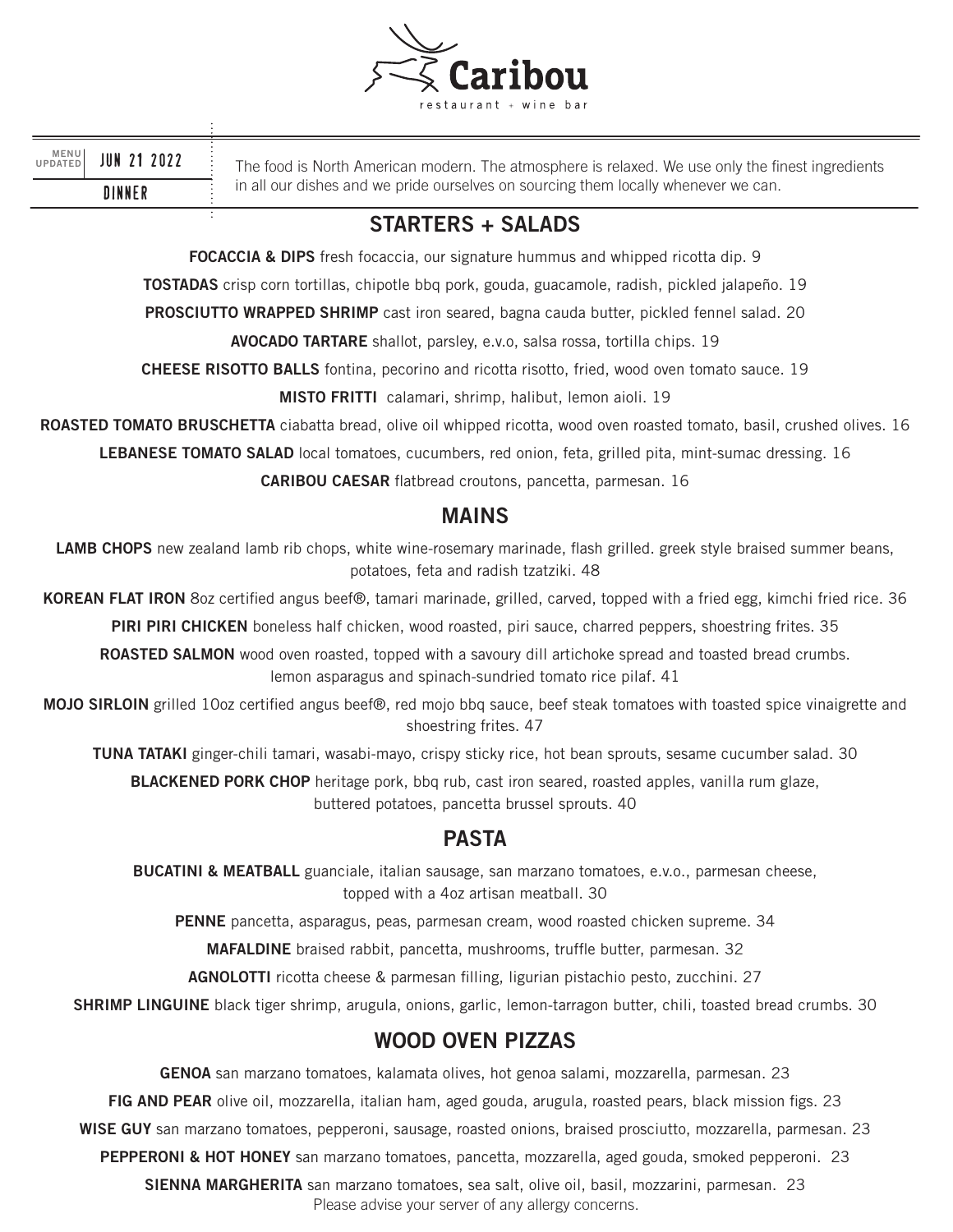

| MENU<br>UPDATED |  |  | <b>JUN 21 2022</b> |  |
|-----------------|--|--|--------------------|--|
| <b>DINNER</b>   |  |  |                    |  |

The food is North American modern. The atmosphere is relaxed. We use only the finest ingredients in all our dishes and we pride ourselves on sourcing them locally whenever we can.

## **STARTERS + SALADS**

**FOCACCIA & DIPS** fresh focaccia, our signature hummus and whipped ricotta dip. 9

**TOSTADAS** crisp corn tortillas, chipotle bbq pork, gouda, guacamole, radish, pickled jalapeño. 19

**PROSCIUTTO WRAPPED SHRIMP** cast iron seared, bagna cauda butter, pickled fennel salad. 20

**AVOCADO TARTARE** shallot, parsley, e.v.o, salsa rossa, tortilla chips. 19

**CHEESE RISOTTO BALLS** fontina, pecorino and ricotta risotto, fried, wood oven tomato sauce. 19

**MISTO FRITTI** calamari, shrimp, halibut, lemon aioli. 19

**ROASTED TOMATO BRUSCHETTA** ciabatta bread, olive oil whipped ricotta, wood oven roasted tomato, basil, crushed olives. 16

**LEBANESE TOMATO SALAD** local tomatoes, cucumbers, red onion, feta, grilled pita, mint-sumac dressing. 16

**CARIBOU CAESAR** flatbread croutons, pancetta, parmesan. 16

### **MAINS**

LAMB CHOPS new zealand lamb rib chops, white wine-rosemary marinade, flash grilled. greek style braised summer beans, potatoes, feta and radish tzatziki. 48

**KOREAN FLAT IRON** 8oz certified angus beef®, tamari marinade, grilled, carved, topped with a fried egg, kimchi fried rice. 36

**PIRI PIRI CHICKEN** boneless half chicken, wood roasted, piri sauce, charred peppers, shoestring frites. 35

**ROASTED SALMON** wood oven roasted, topped with a savoury dill artichoke spread and toasted bread crumbs. lemon asparagus and spinach-sundried tomato rice pilaf. 41

**MOJO SIRLOIN** grilled 10oz certified angus beef®, red mojo bbq sauce, beef steak tomatoes with toasted spice vinaigrette and shoestring frites. 47

**TUNA TATAKI** ginger-chili tamari, wasabi-mayo, crispy sticky rice, hot bean sprouts, sesame cucumber salad. 30

**BLACKENED PORK CHOP** heritage pork, bbq rub, cast iron seared, roasted apples, vanilla rum glaze, buttered potatoes, pancetta brussel sprouts. 40

## **PASTA**

**BUCATINI & MEATBALL** guanciale, italian sausage, san marzano tomatoes, e.v.o., parmesan cheese, topped with a 4oz artisan meatball. 30

**PENNE** pancetta, asparagus, peas, parmesan cream, wood roasted chicken supreme. 34

**MAFALDINE** braised rabbit, pancetta, mushrooms, truffle butter, parmesan. 32

**AGNOLOTTI** ricotta cheese & parmesan filling, ligurian pistachio pesto, zucchini. 27

**SHRIMP LINGUINE** black tiger shrimp, arugula, onions, garlic, lemon-tarragon butter, chili, toasted bread crumbs. 30

### **WOOD OVEN PIZZAS**

**GENOA** san marzano tomatoes, kalamata olives, hot genoa salami, mozzarella, parmesan. 23

**FIG AND PEAR** olive oil, mozzarella, italian ham, aged gouda, arugula, roasted pears, black mission figs. 23

**WISE GUY** san marzano tomatoes, pepperoni, sausage, roasted onions, braised prosciutto, mozzarella, parmesan. 23

**PEPPERONI & HOT HONEY** san marzano tomatoes, pancetta, mozzarella, aged gouda, smoked pepperoni. 23

**SIENNA MARGHERITA** san marzano tomatoes, sea salt, olive oil, basil, mozzarini, parmesan. 23 Please advise your server of any allergy concerns.